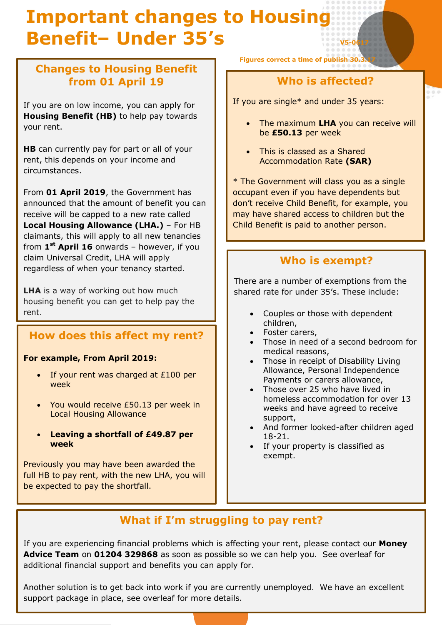# **Important changes to Housing Benefit– Under 35's V5-0617**

# **Changes to Housing Benefit from 01 April 19**

If you are on low income, you can apply for **Housing Benefit (HB)** to help pay towards your rent.

**HB** can currently pay for part or all of your rent, this depends on your income and circumstances.

From **01 April 2019**, the Government has announced that the amount of benefit you can receive will be capped to a new rate called **Local Housing Allowance (LHA.)** – For HB claimants, this will apply to all new tenancies from **1 st April 16** onwards – however, if you claim Universal Credit, LHA will apply regardless of when your tenancy started.

**LHA** is a way of working out how much housing benefit you can get to help pay the rent.

#### **How does this affect my rent?**

#### **For example, From April 2019:**

- $\bullet$  If your rent was charged at £100 per week
- You would receive £50.13 per week in Local Housing Allowance
- **Leaving a shortfall of £49.87 per week**

Previously you may have been awarded the full HB to pay rent, with the new LHA, you will be expected to pay the shortfall.

**Figures correct a time of publish 30.** 

#### **Who is affected?**

If you are single\* and under 35 years:

- The maximum **LHA** you can receive will be **£50.13** per week
- This is classed as a Shared Accommodation Rate **(SAR)**

\* The Government will class you as a single occupant even if you have dependents but don't receive Child Benefit, for example, you may have shared access to children but the Child Benefit is paid to another person.

#### **Who is exempt?**

There are a number of exemptions from the shared rate for under 35's. These include:

- Couples or those with dependent children,
- Foster carers,
- Those in need of a second bedroom for medical reasons,
- Those in receipt of Disability Living Allowance, Personal Independence Payments or carers allowance,
- Those over 25 who have lived in homeless accommodation for over 13 weeks and have agreed to receive support,
- And former looked-after children aged 18-21.
- If your property is classified as exempt.

# **What if I'm struggling to pay rent?**

If you are experiencing financial problems which is affecting your rent, please contact our **Money Advice Team** on **01204 329868** as soon as possible so we can help you. See overleaf for additional financial support and benefits you can apply for.

support package in place, see overleaf for more details. Another solution is to get back into work if you are currently unemployed. We have an excellent